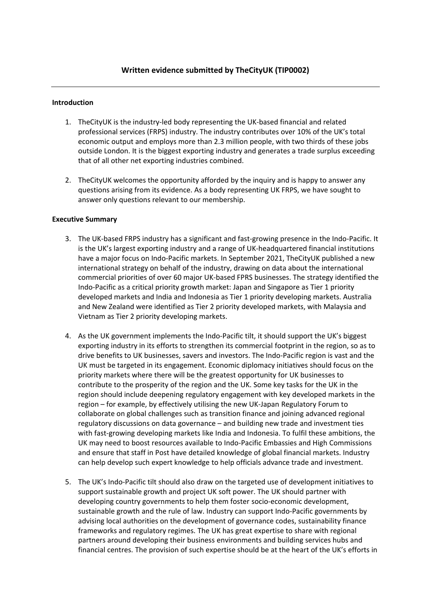### **Introduction**

- 1. TheCityUK is the industry-led body representing the UK-based financial and related professional services (FRPS) industry. The industry contributes over 10% of the UK's total economic output and employs more than 2.3 million people, with two thirds of these jobs outside London. It is the biggest exporting industry and generates a trade surplus exceeding that of all other net exporting industries combined.
- 2. TheCityUK welcomes the opportunity afforded by the inquiry and is happy to answer any questions arising from its evidence. As a body representing UK FRPS, we have sought to answer only questions relevant to our membership.

#### **Executive Summary**

- 3. The UK-based FRPS industry has a significant and fast-growing presence in the Indo-Pacific. It is the UK's largest exporting industry and a range of UK-headquartered financial institutions have a major focus on Indo-Pacific markets. In September 2021, TheCityUK published a new international strategy on behalf of the industry, drawing on data about the international commercial priorities of over 60 major UK-based FPRS businesses. The strategy identified the Indo-Pacific as a critical priority growth market: Japan and Singapore as Tier 1 priority developed markets and India and Indonesia as Tier 1 priority developing markets. Australia and New Zealand were identified as Tier 2 priority developed markets, with Malaysia and Vietnam as Tier 2 priority developing markets.
- 4. As the UK government implements the Indo-Pacific tilt, it should support the UK's biggest exporting industry in its efforts to strengthen its commercial footprint in the region, so as to drive benefits to UK businesses, savers and investors. The Indo-Pacific region is vast and the UK must be targeted in its engagement. Economic diplomacy initiatives should focus on the priority markets where there will be the greatest opportunity for UK businesses to contribute to the prosperity of the region and the UK. Some key tasks for the UK in the region should include deepening regulatory engagement with key developed markets in the region – for example, by effectively utilising the new UK-Japan Regulatory Forum to collaborate on global challenges such as transition finance and joining advanced regional regulatory discussions on data governance – and building new trade and investment ties with fast-growing developing markets like India and Indonesia. To fulfil these ambitions, the UK may need to boost resources available to Indo-Pacific Embassies and High Commissions and ensure that staff in Post have detailed knowledge of global financial markets. Industry can help develop such expert knowledge to help officials advance trade and investment.
- 5. The UK's Indo-Pacific tilt should also draw on the targeted use of development initiatives to support sustainable growth and project UK soft power. The UK should partner with developing country governments to help them foster socio-economic development, sustainable growth and the rule of law. Industry can support Indo-Pacific governments by advising local authorities on the development of governance codes, sustainability finance frameworks and regulatory regimes. The UK has great expertise to share with regional partners around developing their business environments and building services hubs and financial centres. The provision of such expertise should be at the heart of the UK's efforts in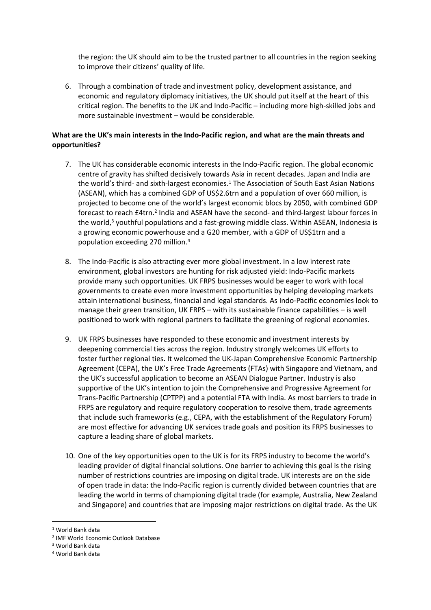the region: the UK should aim to be the trusted partner to all countries in the region seeking to improve their citizens' quality of life.

6. Through a combination of trade and investment policy, development assistance, and economic and regulatory diplomacy initiatives, the UK should put itself at the heart of this critical region. The benefits to the UK and Indo-Pacific – including more high-skilled jobs and more sustainable investment – would be considerable.

## **What are the UK's main interests in the Indo-Pacific region, and what are the main threats and opportunities?**

- 7. The UK has considerable economic interests in the Indo-Pacific region. The global economic centre of gravity has shifted decisively towards Asia in recent decades. Japan and India are the world's third- and sixth-largest economies.<sup>1</sup> The Association of South East Asian Nations (ASEAN), which has a combined GDP of US\$2.6trn and a population of over 660 million, is projected to become one of the world's largest economic blocs by 2050, with combined GDP forecast to reach £4trn.<sup>2</sup> India and ASEAN have the second- and third-largest labour forces in the world,<sup>3</sup> youthful populations and a fast-growing middle class. Within ASEAN, Indonesia is a growing economic powerhouse and a G20 member, with a GDP of US\$1trn and a population exceeding 270 million.<sup>4</sup>
- 8. The Indo-Pacific is also attracting ever more global investment. In a low interest rate environment, global investors are hunting for risk adjusted yield: Indo-Pacific markets provide many such opportunities. UK FRPS businesses would be eager to work with local governments to create even more investment opportunities by helping developing markets attain international business, financial and legal standards. As Indo-Pacific economies look to manage their green transition, UK FRPS – with its sustainable finance capabilities – is well positioned to work with regional partners to facilitate the greening of regional economies.
- 9. UK FRPS businesses have responded to these economic and investment interests by deepening commercial ties across the region. Industry strongly welcomes UK efforts to foster further regional ties. It welcomed the UK-Japan Comprehensive Economic Partnership Agreement (CEPA), the UK's Free Trade Agreements (FTAs) with Singapore and Vietnam, and the UK's successful application to become an ASEAN Dialogue Partner. Industry is also supportive of the UK's intention to join the Comprehensive and Progressive Agreement for Trans-Pacific Partnership (CPTPP) and a potential FTA with India. As most barriers to trade in FRPS are regulatory and require regulatory cooperation to resolve them, trade agreements that include such frameworks (e.g., CEPA, with the establishment of the Regulatory Forum) are most effective for advancing UK services trade goals and position its FRPS businesses to capture a leading share of global markets.
- 10. One of the key opportunities open to the UK is for its FRPS industry to become the world's leading provider of digital financial solutions. One barrier to achieving this goal is the rising number of restrictions countries are imposing on digital trade. UK interests are on the side of open trade in data: the Indo-Pacific region is currently divided between countries that are leading the world in terms of championing digital trade (for example, Australia, New Zealand and Singapore) and countries that are imposing major restrictions on digital trade. As the UK

<sup>1</sup> World Bank data

<sup>2</sup> IMF World Economic Outlook Database

<sup>3</sup> World Bank data

<sup>4</sup> World Bank data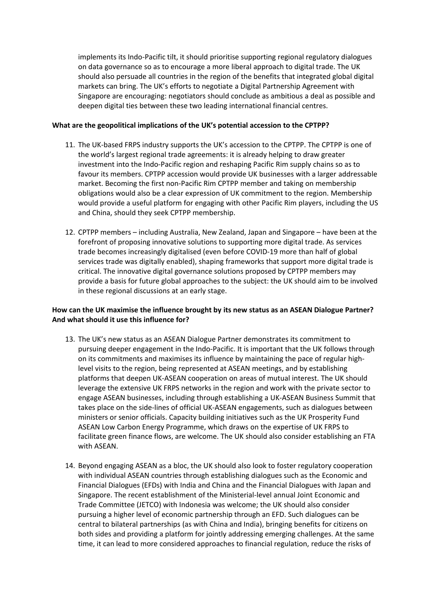implements its Indo-Pacific tilt, it should prioritise supporting regional regulatory dialogues on data governance so as to encourage a more liberal approach to digital trade. The UK should also persuade all countries in the region of the benefits that integrated global digital markets can bring. The UK's efforts to negotiate a Digital Partnership Agreement with Singapore are encouraging: negotiators should conclude as ambitious a deal as possible and deepen digital ties between these two leading international financial centres.

### **What are the geopolitical implications of the UK's potential accession to the CPTPP?**

- 11. The UK-based FRPS industry supports the UK's accession to the CPTPP. The CPTPP is one of the world's largest regional trade agreements: it is already helping to draw greater investment into the Indo-Pacific region and reshaping Pacific Rim supply chains so as to favour its members. CPTPP accession would provide UK businesses with a larger addressable market. Becoming the first non-Pacific Rim CPTPP member and taking on membership obligations would also be a clear expression of UK commitment to the region. Membership would provide a useful platform for engaging with other Pacific Rim players, including the US and China, should they seek CPTPP membership.
- 12. CPTPP members including Australia, New Zealand, Japan and Singapore have been at the forefront of proposing innovative solutions to supporting more digital trade. As services trade becomes increasingly digitalised (even before COVID-19 more than half of global services trade was digitally enabled), shaping frameworks that support more digital trade is critical. The innovative digital governance solutions proposed by CPTPP members may provide a basis for future global approaches to the subject: the UK should aim to be involved in these regional discussions at an early stage.

# **How can the UK maximise the influence brought by its new status as an ASEAN Dialogue Partner? And what should it use this influence for?**

- 13. The UK's new status as an ASEAN Dialogue Partner demonstrates its commitment to pursuing deeper engagement in the Indo-Pacific. It is important that the UK follows through on its commitments and maximises its influence by maintaining the pace of regular highlevel visits to the region, being represented at ASEAN meetings, and by establishing platforms that deepen UK-ASEAN cooperation on areas of mutual interest. The UK should leverage the extensive UK FRPS networks in the region and work with the private sector to engage ASEAN businesses, including through establishing a UK-ASEAN Business Summit that takes place on the side-lines of official UK-ASEAN engagements, such as dialogues between ministers or senior officials. Capacity building initiatives such as the UK Prosperity Fund ASEAN Low Carbon Energy Programme, which draws on the expertise of UK FRPS to facilitate green finance flows, are welcome. The UK should also consider establishing an FTA with ASEAN.
- 14. Beyond engaging ASEAN as a bloc, the UK should also look to foster regulatory cooperation with individual ASEAN countries through establishing dialogues such as the Economic and Financial Dialogues (EFDs) with India and China and the Financial Dialogues with Japan and Singapore. The recent establishment of the Ministerial-level annual Joint Economic and Trade Committee (JETCO) with Indonesia was welcome; the UK should also consider pursuing a higher level of economic partnership through an EFD. Such dialogues can be central to bilateral partnerships (as with China and India), bringing benefits for citizens on both sides and providing a platform for jointly addressing emerging challenges. At the same time, it can lead to more considered approaches to financial regulation, reduce the risks of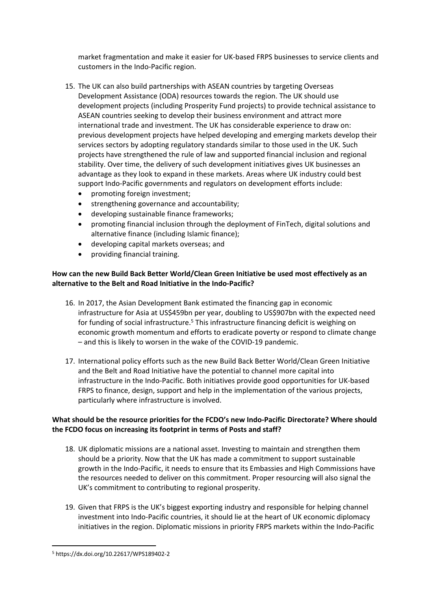market fragmentation and make it easier for UK-based FRPS businesses to service clients and customers in the Indo-Pacific region.

- 15. The UK can also build partnerships with ASEAN countries by targeting Overseas Development Assistance (ODA) resources towards the region. The UK should use development projects (including Prosperity Fund projects) to provide technical assistance to ASEAN countries seeking to develop their business environment and attract more international trade and investment. The UK has considerable experience to draw on: previous development projects have helped developing and emerging markets develop their services sectors by adopting regulatory standards similar to those used in the UK. Such projects have strengthened the rule of law and supported financial inclusion and regional stability. Over time, the delivery of such development initiatives gives UK businesses an advantage as they look to expand in these markets. Areas where UK industry could best support Indo-Pacific governments and regulators on development efforts include:
	- promoting foreign investment;
	- strengthening governance and accountability;
	- developing sustainable finance frameworks;
	- promoting financial inclusion through the deployment of FinTech, digital solutions and alternative finance (including Islamic finance);
	- developing capital markets overseas; and
	- providing financial training.

# **How can the new Build Back Better World/Clean Green Initiative be used most effectively as an alternative to the Belt and Road Initiative in the Indo-Pacific?**

- 16. In 2017, the Asian Development Bank estimated the financing gap in economic infrastructure for Asia at US\$459bn per year, doubling to US\$907bn with the expected need for funding of social infrastructure.<sup>5</sup> This infrastructure financing deficit is weighing on economic growth momentum and efforts to eradicate poverty or respond to climate change – and this is likely to worsen in the wake of the COVID-19 pandemic.
- 17. International policy efforts such as the new Build Back Better World/Clean Green Initiative and the Belt and Road Initiative have the potential to channel more capital into infrastructure in the Indo-Pacific. Both initiatives provide good opportunities for UK-based FRPS to finance, design, support and help in the implementation of the various projects, particularly where infrastructure is involved.

# **What should be the resource priorities for the FCDO's new Indo-Pacific Directorate? Where should the FCDO focus on increasing its footprint in terms of Posts and staff?**

- 18. UK diplomatic missions are a national asset. Investing to maintain and strengthen them should be a priority. Now that the UK has made a commitment to support sustainable growth in the Indo-Pacific, it needs to ensure that its Embassies and High Commissions have the resources needed to deliver on this commitment. Proper resourcing will also signal the UK's commitment to contributing to regional prosperity.
- 19. Given that FRPS is the UK's biggest exporting industry and responsible for helping channel investment into Indo-Pacific countries, it should lie at the heart of UK economic diplomacy initiatives in the region. Diplomatic missions in priority FRPS markets within the Indo-Pacific

<sup>5</sup> https://dx.doi.org/10.22617/WPS189402-2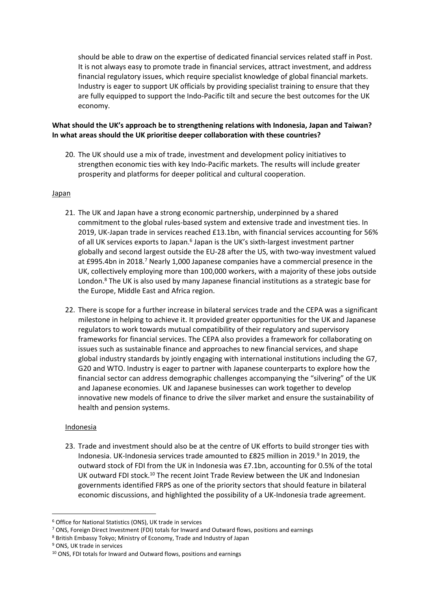should be able to draw on the expertise of dedicated financial services related staff in Post. It is not always easy to promote trade in financial services, attract investment, and address financial regulatory issues, which require specialist knowledge of global financial markets. Industry is eager to support UK officials by providing specialist training to ensure that they are fully equipped to support the Indo-Pacific tilt and secure the best outcomes for the UK economy.

# **What should the UK's approach be to strengthening relations with Indonesia, Japan and Taiwan? In what areas should the UK prioritise deeper collaboration with these countries?**

20. The UK should use a mix of trade, investment and development policy initiatives to strengthen economic ties with key Indo-Pacific markets. The results will include greater prosperity and platforms for deeper political and cultural cooperation.

### Japan

- 21. The UK and Japan have a strong economic partnership, underpinned by a shared commitment to the global rules-based system and extensive trade and investment ties. In 2019, UK-Japan trade in services reached £13.1bn, with financial services accounting for 56% of all UK services exports to Japan.<sup>6</sup> Japan is the UK's sixth-largest investment partner globally and second largest outside the EU-28 after the US, with two-way investment valued at £995.4bn in 2018.<sup>7</sup> Nearly 1,000 Japanese companies have a commercial presence in the UK, collectively employing more than 100,000 workers, with a majority of these jobs outside London.<sup>8</sup> The UK is also used by many Japanese financial institutions as a strategic base for the Europe, Middle East and Africa region.
- 22. There is scope for a further increase in bilateral services trade and the CEPA was a significant milestone in helping to achieve it. It provided greater opportunities for the UK and Japanese regulators to work towards mutual compatibility of their regulatory and supervisory frameworks for financial services. The CEPA also provides a framework for collaborating on issues such as sustainable finance and approaches to new financial services, and shape global industry standards by jointly engaging with international institutions including the G7, G20 and WTO. Industry is eager to partner with Japanese counterparts to explore how the financial sector can address demographic challenges accompanying the "silvering" of the UK and Japanese economies. UK and Japanese businesses can work together to develop innovative new models of finance to drive the silver market and ensure the sustainability of health and pension systems.

### Indonesia

23. Trade and investment should also be at the centre of UK efforts to build stronger ties with Indonesia. UK-Indonesia services trade amounted to £825 million in 2019.<sup>9</sup> In 2019, the outward stock of FDI from the UK in Indonesia was £7.1bn, accounting for 0.5% of the total UK outward FDI stock.<sup>10</sup> The recent Joint Trade Review between the UK and Indonesian governments identified FRPS as one of the priority sectors that should feature in bilateral economic discussions, and highlighted the possibility of a UK-Indonesia trade agreement.

<sup>6</sup> Office for National Statistics (ONS), UK trade in services

<sup>7</sup> ONS, Foreign Direct Investment (FDI) totals for Inward and Outward flows, positions and earnings

<sup>8</sup> British Embassy Tokyo; Ministry of Economy, Trade and Industry of Japan

<sup>9</sup> ONS, UK trade in services

<sup>10</sup> ONS, FDI totals for Inward and Outward flows, positions and earnings